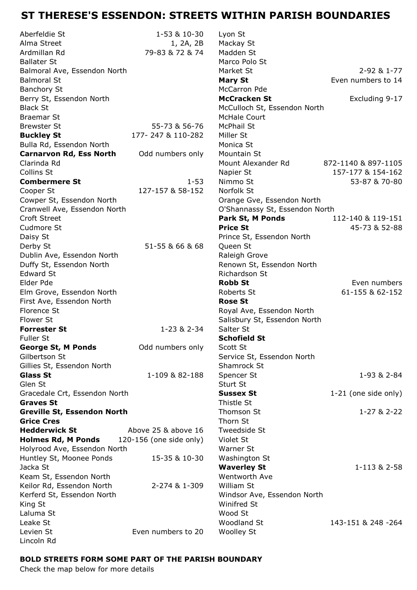## **ST THERESE'S ESSENDON: STREETS WITHIN PARISH BOUNDARIES**

| Aberfeldie St                  | 1-53 & 10-30            | Lyon St                        |                      |
|--------------------------------|-------------------------|--------------------------------|----------------------|
| Alma Street                    | 1, 2A, 2B               | Mackay St                      |                      |
| Ardmillan Rd                   | 79-83 & 72 & 74         | Madden St                      |                      |
| <b>Ballater St</b>             |                         | Marco Polo St                  |                      |
| Balmoral Ave, Essendon North   |                         | Market St                      | 2-92 & 1-77          |
| <b>Balmoral St</b>             |                         | <b>Mary St</b>                 | Even numbers to 14   |
| <b>Banchory St</b>             |                         | McCarron Pde                   |                      |
| Berry St, Essendon North       |                         | <b>McCracken St</b>            | Excluding 9-17       |
| <b>Black St</b>                |                         | McCulloch St, Essendon North   |                      |
| <b>Braemar St</b>              |                         | <b>McHale Court</b>            |                      |
| <b>Brewster St</b>             | 55-73 & 56-76           | McPhail St                     |                      |
| <b>Buckley St</b>              | 177-247 & 110-282       | Miller St                      |                      |
| Bulla Rd, Essendon North       |                         | Monica St                      |                      |
| <b>Carnarvon Rd, Ess North</b> | Odd numbers only        | Mountain St                    |                      |
| Clarinda Rd                    |                         | Mount Alexander Rd             | 872-1140 & 897-1105  |
| Collins St                     |                         | Napier St                      | 157-177 & 154-162    |
| <b>Combermere St</b>           | $1 - 53$                | Nimmo St                       | 53-87 & 70-80        |
| Cooper St                      | 127-157 & 58-152        | Norfolk St                     |                      |
| Cowper St, Essendon North      |                         | Orange Gve, Essendon North     |                      |
| Cranwell Ave, Essendon North   |                         | O'Shannassy St, Essendon North |                      |
| Croft Street                   |                         | Park St, M Ponds               | 112-140 & 119-151    |
| Cudmore St                     |                         | <b>Price St</b>                | 45-73 & 52-88        |
| Daisy St                       |                         | Prince St, Essendon North      |                      |
| Derby St                       | 51-55 & 66 & 68         | Queen St                       |                      |
| Dublin Ave, Essendon North     |                         | Raleigh Grove                  |                      |
| Duffy St, Essendon North       |                         | Renown St, Essendon North      |                      |
| <b>Edward St</b>               |                         | Richardson St                  |                      |
| Elder Pde                      |                         | <b>Robb St</b>                 | Even numbers         |
| Elm Grove, Essendon North      |                         | Roberts St                     | 61-155 & 62-152      |
| First Ave, Essendon North      |                         | <b>Rose St</b>                 |                      |
| Florence St                    |                         | Royal Ave, Essendon North      |                      |
| Flower St                      |                         | Salisbury St, Essendon North   |                      |
| <b>Forrester St</b>            | 1-23 & 2-34             | Salter St                      |                      |
| <b>Fuller St</b>               |                         | <b>Schofield St</b>            |                      |
| <b>George St, M Ponds</b>      | Odd numbers only        | Scott St                       |                      |
| Gilbertson St                  |                         | Service St, Essendon North     |                      |
| Gillies St, Essendon North     |                         | Shamrock St                    |                      |
| <b>Glass St</b>                | 1-109 & 82-188          | Spencer St                     | 1-93 & 2-84          |
| Glen St                        |                         | Sturt St                       |                      |
| Gracedale Crt, Essendon North  |                         | <b>Sussex St</b>               | 1-21 (one side only) |
| <b>Graves St</b>               |                         | Thistle St                     |                      |
| Greville St, Essendon North    |                         | Thomson St                     | $1 - 27 & 2 - 22$    |
| <b>Grice Cres</b>              |                         | Thorn St                       |                      |
| <b>Hedderwick St</b>           | Above 25 & above 16     | Tweedside St                   |                      |
| <b>Holmes Rd, M Ponds</b>      | 120-156 (one side only) | Violet St                      |                      |
| Holyrood Ave, Essendon North   |                         | Warner St                      |                      |
| Huntley St, Moonee Ponds       | 15-35 & 10-30           | Washington St                  |                      |
| Jacka St                       |                         | <b>Waverley St</b>             | 1-113 & 2-58         |
| Keam St, Essendon North        |                         | Wentworth Ave                  |                      |
| Keilor Rd, Essendon North      | 2-274 & 1-309           | William St                     |                      |
| Kerferd St, Essendon North     |                         | Windsor Ave, Essendon North    |                      |
| King St                        |                         | Winifred St                    |                      |
| Laluma St                      |                         | Wood St                        |                      |
| Leake St                       |                         | Woodland St                    | 143-151 & 248 -264   |
| Levien St                      | Even numbers to 20      | <b>Woolley St</b>              |                      |
| Lincoln Rd                     |                         |                                |                      |
|                                |                         |                                |                      |

## **BOLD STREETS FORM SOME PART OF THE PARISH BOUNDARY**

Check the map below for more details